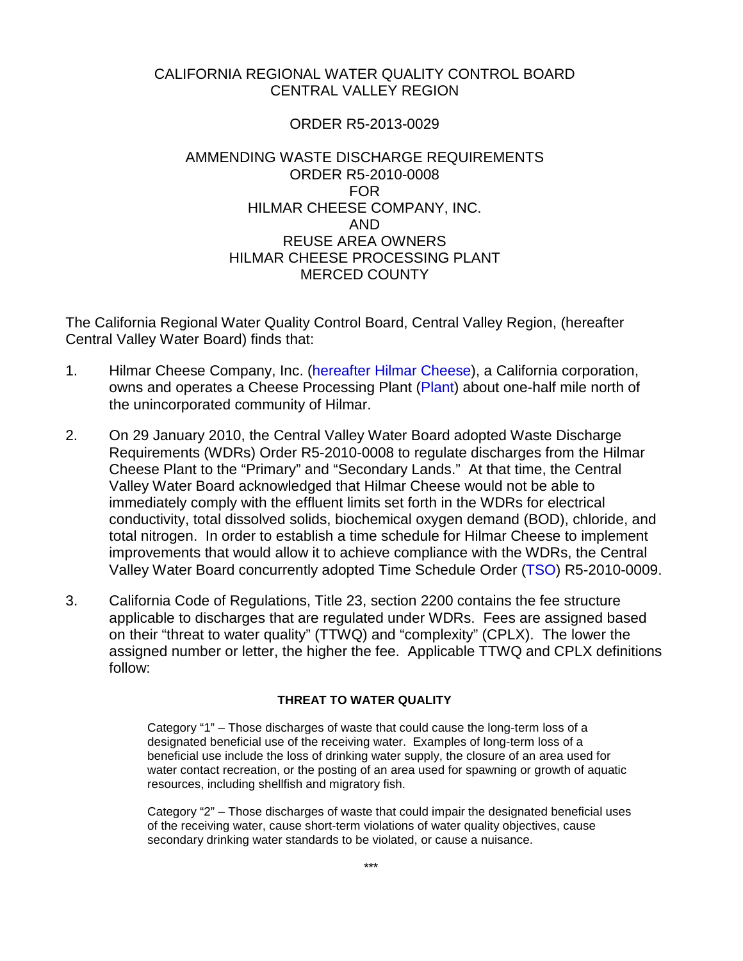# CALIFORNIA REGIONAL WATER QUALITY CONTROL BOARD CENTRAL VALLEY REGION

# ORDER R5-2013-0029

# AMMENDING WASTE DISCHARGE REQUIREMENTS ORDER R5-2010-0008 FOR HILMAR CHEESE COMPANY, INC. AND REUSE AREA OWNERS HILMAR CHEESE PROCESSING PLANT MERCED COUNTY

The California Regional Water Quality Control Board, Central Valley Region, (hereafter Central Valley Water Board) finds that:

- 1. Hilmar Cheese Company, Inc. (hereafter Hilmar Cheese), a California corporation, owns and operates a Cheese Processing Plant (Plant) about one-half mile north of the unincorporated community of Hilmar.
- 2. On 29 January 2010, the Central Valley Water Board adopted Waste Discharge Requirements (WDRs) Order R5-2010-0008 to regulate discharges from the Hilmar Cheese Plant to the "Primary" and "Secondary Lands." At that time, the Central Valley Water Board acknowledged that Hilmar Cheese would not be able to immediately comply with the effluent limits set forth in the WDRs for electrical conductivity, total dissolved solids, biochemical oxygen demand (BOD), chloride, and total nitrogen. In order to establish a time schedule for Hilmar Cheese to implement improvements that would allow it to achieve compliance with the WDRs, the Central Valley Water Board concurrently adopted Time Schedule Order (TSO) R5-2010-0009.
- 3. California Code of Regulations, Title 23, section 2200 contains the fee structure applicable to discharges that are regulated under WDRs. Fees are assigned based on their "threat to water quality" (TTWQ) and "complexity" (CPLX). The lower the assigned number or letter, the higher the fee. Applicable TTWQ and CPLX definitions follow:

### **THREAT TO WATER QUALITY**

Category "1" – Those discharges of waste that could cause the long-term loss of a designated beneficial use of the receiving water. Examples of long-term loss of a beneficial use include the loss of drinking water supply, the closure of an area used for water contact recreation, or the posting of an area used for spawning or growth of aquatic resources, including shellfish and migratory fish.

Category "2" – Those discharges of waste that could impair the designated beneficial uses of the receiving water, cause short-term violations of water quality objectives, cause secondary drinking water standards to be violated, or cause a nuisance.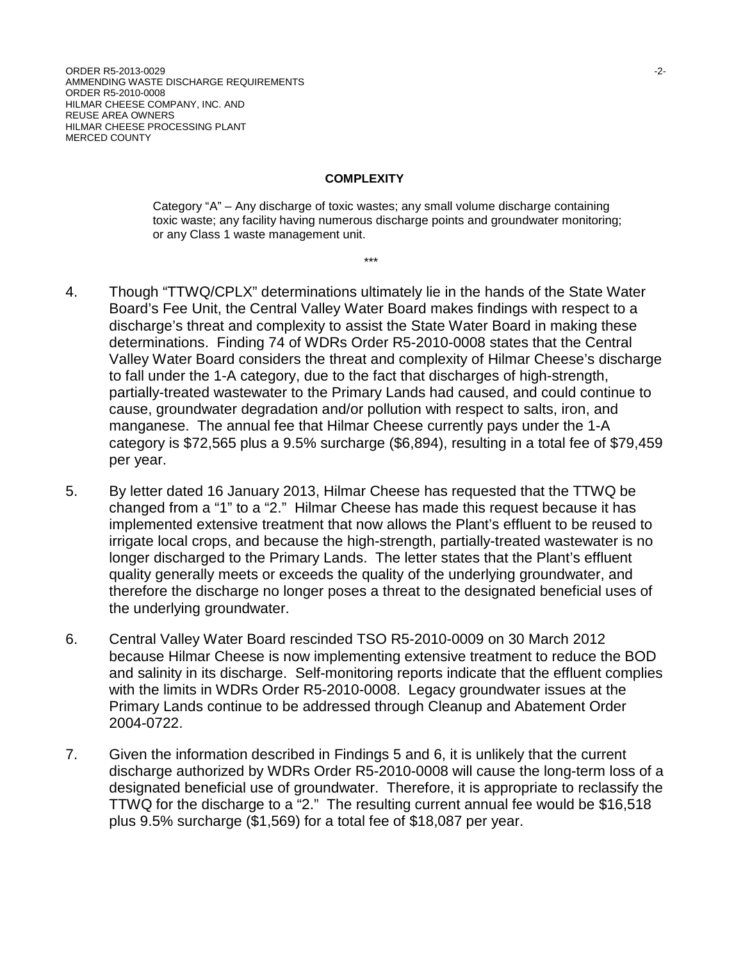ORDER R5-2013-0029 -2- AMMENDING WASTE DISCHARGE REQUIREMENTS ORDER R5-2010-0008 HILMAR CHEESE COMPANY, INC. AND REUSE AREA OWNERS HILMAR CHEESE PROCESSING PLANT MERCED COUNTY

#### **COMPLEXITY**

\*\*\*

Category "A" – Any discharge of toxic wastes; any small volume discharge containing toxic waste; any facility having numerous discharge points and groundwater monitoring; or any Class 1 waste management unit.

- 4. Though "TTWQ/CPLX" determinations ultimately lie in the hands of the State Water Board's Fee Unit, the Central Valley Water Board makes findings with respect to a discharge's threat and complexity to assist the State Water Board in making these determinations. Finding 74 of WDRs Order R5-2010-0008 states that the Central Valley Water Board considers the threat and complexity of Hilmar Cheese's discharge to fall under the 1-A category, due to the fact that discharges of high-strength, partially-treated wastewater to the Primary Lands had caused, and could continue to cause, groundwater degradation and/or pollution with respect to salts, iron, and manganese. The annual fee that Hilmar Cheese currently pays under the 1-A category is \$72,565 plus a 9.5% surcharge (\$6,894), resulting in a total fee of \$79,459 per year.
- 5. By letter dated 16 January 2013, Hilmar Cheese has requested that the TTWQ be changed from a "1" to a "2." Hilmar Cheese has made this request because it has implemented extensive treatment that now allows the Plant's effluent to be reused to irrigate local crops, and because the high-strength, partially-treated wastewater is no longer discharged to the Primary Lands. The letter states that the Plant's effluent quality generally meets or exceeds the quality of the underlying groundwater, and therefore the discharge no longer poses a threat to the designated beneficial uses of the underlying groundwater.
- 6. Central Valley Water Board rescinded TSO R5-2010-0009 on 30 March 2012 because Hilmar Cheese is now implementing extensive treatment to reduce the BOD and salinity in its discharge. Self-monitoring reports indicate that the effluent complies with the limits in WDRs Order R5-2010-0008. Legacy groundwater issues at the Primary Lands continue to be addressed through Cleanup and Abatement Order 2004-0722.
- 7. Given the information described in Findings 5 and 6, it is unlikely that the current discharge authorized by WDRs Order R5-2010-0008 will cause the long-term loss of a designated beneficial use of groundwater. Therefore, it is appropriate to reclassify the TTWQ for the discharge to a "2." The resulting current annual fee would be \$16,518 plus 9.5% surcharge (\$1,569) for a total fee of \$18,087 per year.